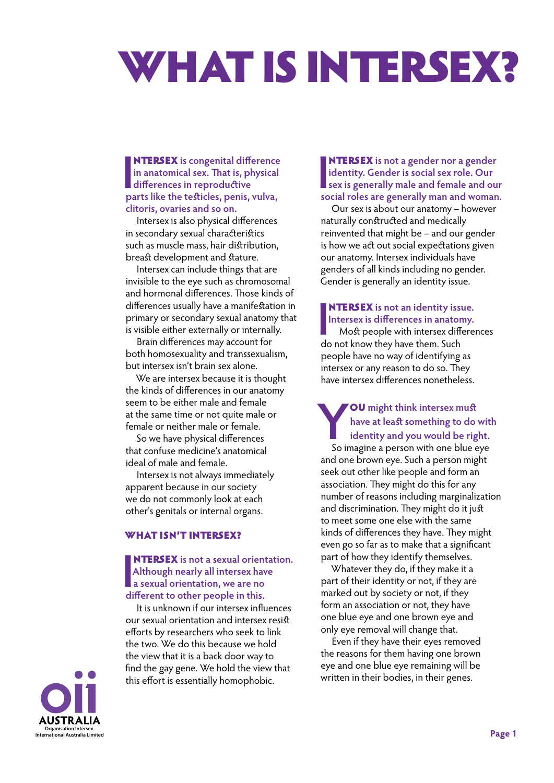# WHAT IS INTERSEX?

**INTERSEX** is congenital differences in reproductive narks like the toficies nanis NTERSEX **is congenital difference in anatomical sex. That is, physical parts like the testicles, penis, vulva, clitoris, ovaries and so on.** 

Intersex is also physical differences in secondary sexual characteristics such as muscle mass, hair distribution, breast development and stature.

Intersex can include things that are invisible to the eye such as chromosomal and hormonal differences. Those kinds of differences usually have a manifestation in primary or secondary sexual anatomy that is visible either externally or internally.

Brain differences may account for both homosexuality and transsexualism, but intersex isn't brain sex alone.

We are intersex because it is thought the kinds of differences in our anatomy seem to be either male and female at the same time or not quite male or female or neither male or female.

So we have physical differences that confuse medicine's anatomical ideal of male and female.

Intersex is not always immediately apparent because in our society we do not commonly look at each other's genitals or internal organs.

### What isn't intersex?

**INTERSEX** is not a sexual orien<br> **Although nearly all intersex have a sexual orientation**, we are no<br>
different to other people in this. NTERSEX **is not a sexual orientation. Although nearly all intersex have a sexual orientation, we are no** 

It is unknown if our intersex influences our sexual orientation and intersex resist efforts by researchers who seek to link the two. We do this because we hold the view that it is a back door way to find the gay gene. We hold the view that this effort is essentially homophobic.

**INTERSEX** is not a gender nor a gender<br>
identity. Gender is social sex role. Our<br>
sex is generally male and female and our<br>
social roles are generally man and woman NTERSEX **is not a gender nor a gender identity. Gender is social sex role. Our social roles are generally man and woman.**

Our sex is about our anatomy – however naturally constructed and medically reinvented that might be – and our gender is how we act out social expectations given our anatomy. Intersex individuals have genders of all kinds including no gender. Gender is generally an identity issue.

### NTERSEX **is not an identity issue. Intersex is differences in anatomy.**

**I** Most people with intersex differences do not know they have them. Such people have no way of identifying as intersex or any reason to do so. They have intersex differences nonetheless.

# **Y**<br> **ha**<br> **So imay** OU **might think intersex must have at least something to do with identity and you would be right.**

So imagine a person with one blue eye and one brown eye. Such a person might seek out other like people and form an association. They might do this for any number of reasons including marginalization and discrimination. They might do it just to meet some one else with the same kinds of differences they have. They might even go so far as to make that a significant part of how they identify themselves.

Whatever they do, if they make it a part of their identity or not, if they are marked out by society or not, if they form an association or not, they have one blue eye and one brown eye and only eye removal will change that.

Even if they have their eyes removed the reasons for them having one brown eye and one blue eye remaining will be written in their bodies, in their genes.

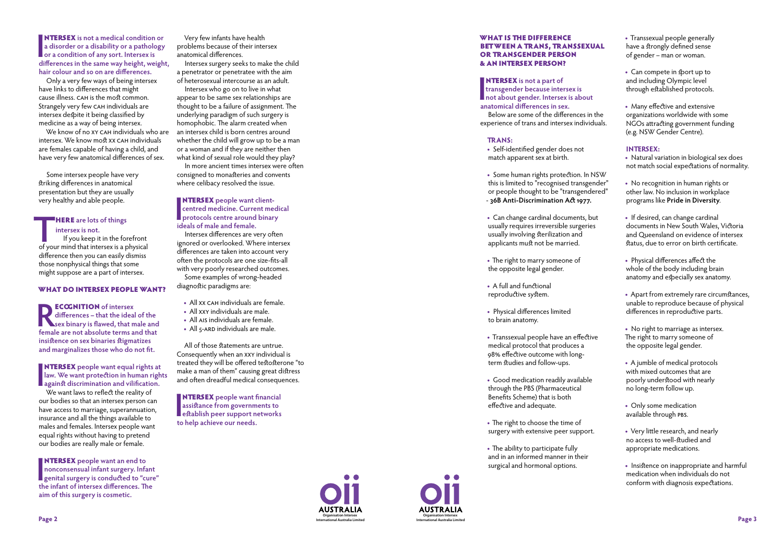**INTERSEX** is not a medical condition<br>a disorder or a disability or a patholo<br>or a condition of any sort. Intersex is<br>differences in the same way height, weil NTERSEX **is not a medical condition or a disorder or a disability or a pathology differences in the same way height, weight, hair colour and so on are differences.**

We know of no XY CAH individuals who are intersex. We know most xx cah individuals are females capable of having a child, and have very few anatomical differences of sex.

Only a very few ways of being intersex have links to differences that might cause illness. cah is the most common. Strangely very few CAH individuals are intersex despite it being classified by medicine as a way of being intersex.

# **THERE** are lots of things<br>
intersex is not.<br>
If you keep it in the forefront<br>
of your mind that intersex is a physical **intersex is not.**

**RECOGNITION** of intersex<br>
differences – that the ideal of the<br>
sex binary is flawed, that male and<br>
formal a are not absolute terms and that **differences – that the ideal of the female are not absolute terms and that insistence on sex binaries stigmatizes and marginalizes those who do not fit.**

**INTERSEX** people want equal rights at<br>law. We want protection in human righ<br>against discrimination and vilification.<br>We want laws to reflect the reality of NTERSEX **people want equal rights at law. We want protection in human rights** 

Some intersex people have very striking differences in anatomical presentation but they are usually very healthy and able people.

We want laws to reflect the reality of our bodies so that an intersex person can have access to marriage, superannuation, insurance and all the things available to males and females. Intersex people want equal rights without having to pretend our bodies are really male or female.

If you keep it in the forefront difference then you can easily dismiss those nonphysical things that some might suppose are a part of intersex.

**INTERSEX** people want an end to<br>
nonconsensual infant surgery. Infant<br>
genital surgery is conducted to "cure"<br>
the infant of intersex differences. The NTERSEX **people want an end to nonconsensual infant surgery. Infant the infant of intersex differences. The aim of this surgery is cosmetic.** 

### What do intersex people want?

**INTERSEX** people want client-<br>
centred medicine. Current me<br>
protocols centre around binar<br>
ideals of male and female **centred medicine. Current medical protocols centre around binary ideals of male and female.**

All of those statements are untrue. Consequently when an xxy individual is treated they will be offered testosterone "to make a man of them" causing great distress and often dreadful medical consequences.

**INTERSEX** people want financial<br>
assistance from governments to<br>
establish peer support networks<br>
to belp achieve our needs **assistance from governments to establish peer support networks to help achieve our needs.**

**INTERSEX** is not a part of<br>transgender because inter<br>not about gender. Interse:<br>anatomical differences in se **transgender because intersex is not about gender. Intersex is about anatomical differences in sex.**

Below are some of the differences in experience of trans and intersex indivi

Very few infants have health problems because of their intersex anatomical differences.

Intersex surgery seeks to make the child a penetrator or penetratee with the aim of heterosexual intercourse as an adult.

> • Some human rights protection. In this is limited to "recognised transge or people thought to be "transgend - **36B Anti-Discrimination Act 1977.**

Intersex who go on to live in what appear to be same sex relationships are thought to be a failure of assignment. The underlying paradigm of such surgery is homophobic. The alarm created when an intersex child is born centres around whether the child will grow up to be a man or a woman and if they are neither then what kind of sexual role would they play?

- Can change cardinal documents, **but** usually requires irreversible surgerie usually involving sterilization and applicants must not be married.
- **•** The right to marry someone of the opposite legal gender.
- **•** A full and functional reproductive system.
- **•** Physical differences limited to brain anatomy.
- Transsexual people have an effect medical protocol that produces a 98% effective outcome with longterm studies and follow-ups.
- **•** Good medication readily available through the PBS (Pharmaceutical Benefits Scheme) that is both effective and adequate.
- **•** The right to choose the time of surgery with extensive peer suppor
- **•** The ability to participate fully and in an informed manner in their surgical and hormonal options.

In more ancient times intersex were often consigned to monasteries and convents where celibacy resolved the issue.

Intersex differences are very often ignored or overlooked. Where intersex differences are taken into account very often the protocols are one size-fits-all with very poorly researched outcomes. Some examples of wrong-headed diagnostic paradigms are:

- All xx CAH individuals are female.
- **•** All xxy individuals are male.
- All ais individuals are female.
- All 5-ARD individuals are male.



**Organisation Intersex** 

### What is the difference **BETWEEN A TRANS, TRANSSEX** OR TRANSGENDER PERSON & an intersex person?

## **Trans:**

**•** Self-identified gender does not match apparent sex at birth.

| <b>UAL</b>                     | • Transsexual people generally<br>have a strongly defined sense<br>of gender – man or woman.                                                                        |
|--------------------------------|---------------------------------------------------------------------------------------------------------------------------------------------------------------------|
|                                | • Can compete in sport up to<br>and including Olympic level<br>through established protocols.                                                                       |
| t<br>n the<br>duals.           | • Many effective and extensive<br>organizations worldwide with some<br>NGOs attracting government funding<br>(e.g. NSW Gender Centre).                              |
| <b>NSW</b><br>ender"<br>lered" | <b>INTERSEX:</b><br>Natural variation in biological sex does<br>not match social expectations of normality.                                                         |
|                                | • No recognition in human rights or<br>other law. No inclusion in workplace<br>programs like Pride in Diversity.                                                    |
| วนt<br>es                      | • If desired, can change cardinal<br>documents in New South Wales, Victoria<br>and Queensland on evidence of intersex<br>status, due to error on birth certificate. |
|                                | • Physical differences affect the<br>whole of the body including brain<br>anatomy and especially sex anatomy.                                                       |
|                                | • Apart from extremely rare circumstances,<br>unable to reproduce because of physical<br>differences in reproductive parts.                                         |
| ive                            | • No right to marriage as intersex.<br>The right to marry someone of<br>the opposite legal gender.                                                                  |
| ∍                              | • A jumble of medical protocols<br>with mixed outcomes that are<br>poorly understood with nearly<br>no long-term follow up.                                         |
|                                | • Only some medication<br>available through PBS.                                                                                                                    |
| ٠t.                            | • Very little research, and nearly<br>no access to well-studied and<br>appropriate medications.                                                                     |
|                                | Insistence on inappropriate and harmful<br>medication when individuals do not<br>conform with diagnosis expectations.                                               |
|                                |                                                                                                                                                                     |